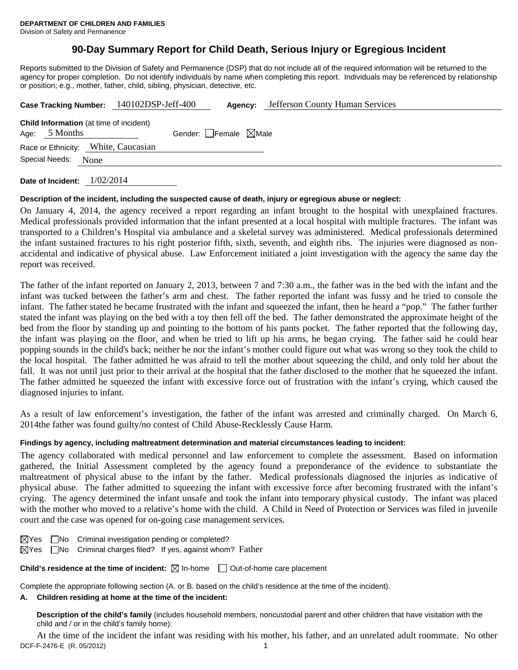# **90-Day Summary Report for Child Death, Serious Injury or Egregious Incident**

Reports submitted to the Division of Safety and Permanence (DSP) that do not include all of the required information will be returned to the agency for proper completion. Do not identify individuals by name when completing this report. Individuals may be referenced by relationship or position; e.g., mother, father, child, sibling, physician, detective, etc.

|                                                                   | Case Tracking Number: 140102DSP-Jeff-400 | <b>Jefferson County Human Services</b><br>Agency: |  |
|-------------------------------------------------------------------|------------------------------------------|---------------------------------------------------|--|
| <b>Child Information</b> (at time of incident)<br>Age: $5$ Months | Gender: Female $\boxtimes$ Male          |                                                   |  |
| Race or Ethnicity: White, Caucasian                               |                                          |                                                   |  |
| Special Needs:<br>None                                            |                                          |                                                   |  |
|                                                                   |                                          |                                                   |  |

**Date of Incident:** 1/02/2014

### **Description of the incident, including the suspected cause of death, injury or egregious abuse or neglect:**

On January 4, 2014, the agency received a report regarding an infant brought to the hospital with unexplained fractures. Medical professionals provided information that the infant presented at a local hospital with multiple fractures. The infant was transported to a Children's Hospital via ambulance and a skeletal survey was administered. Medical professionals determined the infant sustained fractures to his right posterior fifth, sixth, seventh, and eighth ribs. The injuries were diagnosed as nonaccidental and indicative of physical abuse. Law Enforcement initiated a joint investigation with the agency the same day the report was received.

The father of the infant reported on January 2, 2013, between 7 and 7:30 a.m., the father was in the bed with the infant and the infant was tucked between the father's arm and chest. The father reported the infant was fussy and he tried to console the infant. The father stated he became frustrated with the infant and squeezed the infant, then he heard a "pop." The father further stated the infant was playing on the bed with a toy then fell off the bed. The father demonstrated the approximate height of the bed from the floor by standing up and pointing to the bottom of his pants pocket. The father reported that the following day, the infant was playing on the floor, and when he tried to lift up his arms, he began crying. The father said he could hear popping sounds in the child's back; neither he nor the infant's mother could figure out what was wrong so they took the child to the local hospital. The father admitted he was afraid to tell the mother about squeezing the child, and only told her about the fall. It was not until just prior to their arrival at the hospital that the father disclosed to the mother that he squeezed the infant. The father admitted he squeezed the infant with excessive force out of frustration with the infant's crying, which caused the diagnosed injuries to infant.

As a result of law enforcement's investigation, the father of the infant was arrested and criminally charged. On March 6, 2014the father was found guilty/no contest of Child Abuse-Recklessly Cause Harm.

# **Findings by agency, including maltreatment determination and material circumstances leading to incident:**

The agency collaborated with medical personnel and law enforcement to complete the assessment. Based on information gathered, the Initial Assessment completed by the agency found a preponderance of the evidence to substantiate the maltreatment of physical abuse to the infant by the father. Medical professionals diagnosed the injuries as indicative of physical abuse. The father admitted to squeezing the infant with excessive force after becoming frustrated with the infant's crying. The agency determined the infant unsafe and took the infant into temporary physical custody. The infant was placed with the mother who moved to a relative's home with the child. A Child in Need of Protection or Services was filed in juvenile court and the case was opened for on-going case management services.

|  | $\boxtimes$ Yes $\Box$ No Criminal investigation pending or completed?         |  |
|--|--------------------------------------------------------------------------------|--|
|  | $\boxtimes$ Yes $\Box$ No Criminal charges filed? If yes, against whom? Father |  |

**Child's residence at the time of incident:** ⊠ In-home □ Out-of-home care placement

Complete the appropriate following section (A. or B. based on the child's residence at the time of the incident).

### **A. Children residing at home at the time of the incident:**

**Description of the child's family** (includes household members, noncustodial parent and other children that have visitation with the child and / or in the child's family home):

DCF-F-2476-E (R. 05/2012) 1 At the time of the incident the infant was residing with his mother, his father, and an unrelated adult roommate. No other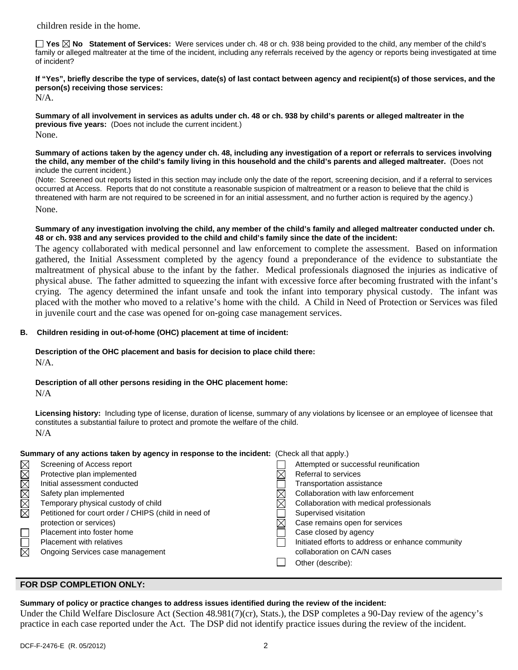children reside in the home.

**Yes No Statement of Services:** Were services under ch. 48 or ch. 938 being provided to the child, any member of the child's family or alleged maltreater at the time of the incident, including any referrals received by the agency or reports being investigated at time of incident?

**If "Yes", briefly describe the type of services, date(s) of last contact between agency and recipient(s) of those services, and the person(s) receiving those services:** 

N/A.

**Summary of all involvement in services as adults under ch. 48 or ch. 938 by child's parents or alleged maltreater in the previous five years:** (Does not include the current incident.) None.

**Summary of actions taken by the agency under ch. 48, including any investigation of a report or referrals to services involving the child, any member of the child's family living in this household and the child's parents and alleged maltreater.** (Does not include the current incident.)

(Note: Screened out reports listed in this section may include only the date of the report, screening decision, and if a referral to services occurred at Access. Reports that do not constitute a reasonable suspicion of maltreatment or a reason to believe that the child is threatened with harm are not required to be screened in for an initial assessment, and no further action is required by the agency.) None.

**Summary of any investigation involving the child, any member of the child's family and alleged maltreater conducted under ch. 48 or ch. 938 and any services provided to the child and child's family since the date of the incident:** 

The agency collaborated with medical personnel and law enforcement to complete the assessment. Based on information gathered, the Initial Assessment completed by the agency found a preponderance of the evidence to substantiate the maltreatment of physical abuse to the infant by the father. Medical professionals diagnosed the injuries as indicative of physical abuse. The father admitted to squeezing the infant with excessive force after becoming frustrated with the infant's crying. The agency determined the infant unsafe and took the infant into temporary physical custody. The infant was placed with the mother who moved to a relative's home with the child. A Child in Need of Protection or Services was filed in juvenile court and the case was opened for on-going case management services.

# **B. Children residing in out-of-home (OHC) placement at time of incident:**

# **Description of the OHC placement and basis for decision to place child there:**

N/A.

**Description of all other persons residing in the OHC placement home:**

N/A

**Licensing history:** Including type of license, duration of license, summary of any violations by licensee or an employee of licensee that constitutes a substantial failure to protect and promote the welfare of the child. N/A

| Summary of any actions taken by agency in response to the incident: (Check all that apply.) |                                                      |  |                                                   |  |
|---------------------------------------------------------------------------------------------|------------------------------------------------------|--|---------------------------------------------------|--|
|                                                                                             | Screening of Access report                           |  | Attempted or successful reunification             |  |
| XXXXXX                                                                                      | Protective plan implemented                          |  | Referral to services                              |  |
|                                                                                             | Initial assessment conducted                         |  | Transportation assistance                         |  |
|                                                                                             | Safety plan implemented                              |  | Collaboration with law enforcement                |  |
|                                                                                             | Temporary physical custody of child                  |  | Collaboration with medical professionals          |  |
|                                                                                             | Petitioned for court order / CHIPS (child in need of |  | Supervised visitation                             |  |
|                                                                                             | protection or services)                              |  | Case remains open for services                    |  |
|                                                                                             | Placement into foster home                           |  | Case closed by agency                             |  |
|                                                                                             | <b>Placement with relatives</b>                      |  | Initiated efforts to address or enhance community |  |
| 岗                                                                                           | Ongoing Services case management                     |  | collaboration on CA/N cases                       |  |
|                                                                                             |                                                      |  | Other (describe):                                 |  |

## **FOR DSP COMPLETION ONLY:**

### **Summary of policy or practice changes to address issues identified during the review of the incident:**

Under the Child Welfare Disclosure Act (Section 48.981(7)(cr), Stats.), the DSP completes a 90-Day review of the agency's practice in each case reported under the Act. The DSP did not identify practice issues during the review of the incident.